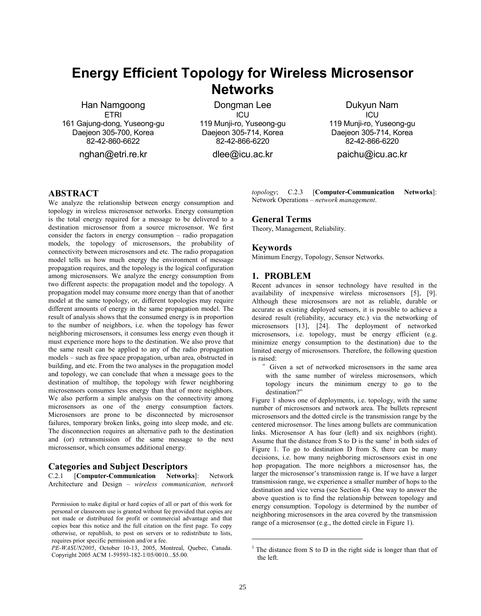# **Energy Efficient Topology for Wireless Microsensor Networks**

Han Namgoong ETRI 161 Gajung-dong, Yuseong-gu Daejeon 305-700, Korea 82-42-860-6622

nghan@etri.re.kr

Dongman Lee ICU 119 Munji-ro, Yuseong-gu Daejeon 305-714, Korea 82-42-866-6220

dlee@icu.ac.kr

Dukyun Nam ICU 119 Munji-ro, Yuseong-gu Daejeon 305-714, Korea 82-42-866-6220

paichu@icu.ac.kr

## **ABSTRACT**

We analyze the relationship between energy consumption and topology in wireless microsensor networks. Energy consumption is the total energy required for a message to be delivered to a destination microsensor from a source microsensor. We first consider the factors in energy consumption – radio propagation models, the topology of microsensors, the probability of connectivity between microsensors and etc. The radio propagation model tells us how much energy the environment of message propagation requires, and the topology is the logical configuration among microsensors. We analyze the energy consumption from two different aspects: the propagation model and the topology. A propagation model may consume more energy than that of another model at the same topology, or, different topologies may require different amounts of energy in the same propagation model. The result of analysis shows that the consumed energy is in proportion to the number of neighbors, i.e. when the topology has fewer neighboring microsensors, it consumes less energy even though it must experience more hops to the destination. We also prove that the same result can be applied to any of the radio propagation models – such as free space propagation, urban area, obstructed in building, and etc. From the two analyses in the propagation model and topology, we can conclude that when a message goes to the destination of multihop, the topology with fewer neighboring microsensors consumes less energy than that of more neighbors. We also perform a simple analysis on the connectivity among microsensors as one of the energy consumption factors. Microsensors are prone to be disconnected by microsensor failures, temporary broken links, going into sleep mode, and etc. The disconnection requires an alternative path to the destination and (or) retransmission of the same message to the next microssensor, which consumes additional energy.

## **Categories and Subject Descriptors**

C.2.1 [**Computer-Communication Networks**]: Network Architecture and Design – *wireless communication, network* 

Permission to make digital or hard copies of all or part of this work for personal or classroom use is granted without fee provided that copies are not made or distributed for profit or commercial advantage and that copies bear this notice and the full citation on the first page. To copy otherwise, or republish, to post on servers or to redistribute to lists, requires prior specific permission and/or a fee.

*PE-WASUN2005*, October 10-13, 2005, Montreal, Quebec, Canada. Copyright 2005 ACM 1-59593-182-1/05/0010...\$5.00.

*topology*; C.2.3 [**Computer-Communication Networks**]: Network Operations – *network management*.

#### **General Terms**

Theory, Management, Reliability.

#### **Keywords**

Minimum Energy, Topology, Sensor Networks.

## **1. PROBLEM**

Recent advances in sensor technology have resulted in the availability of inexpensive wireless microsensors [5], [9]. Although these microsensors are not as reliable, durable or accurate as existing deployed sensors, it is possible to achieve a desired result (reliability, accuracy etc.) via the networking of microsensors [13], [24]. The deployment of networked microsensors, i.e. topology, must be energy efficient (e.g. minimize energy consumption to the destination) due to the limited energy of microsensors. Therefore, the following question is raised:

Given a set of networked microsensors in the same area with the same number of wireless microsensors, which topology incurs the minimum energy to go to the destination?"

Figure 1 shows one of deployments, i.e. topology, with the same number of microsensors and network area. The bullets represent microsensors and the dotted circle is the transmission range by the centered microsensor. The lines among bullets are communication links. Microsensor A has four (left) and six neighbors (right). Assume that the distance from S to D is the same<sup>1</sup> in both sides of Figure 1. To go to destination D from S, there can be many decisions, i.e. how many neighboring microsensors exist in one hop propagation. The more neighbors a microsensor has, the larger the microsensor's transmission range is. If we have a larger transmission range, we experience a smaller number of hops to the destination and vice versa (see Section 4). One way to answer the above question is to find the relationship between topology and energy consumption. Topology is determined by the number of neighboring microsensors in the area covered by the transmission range of a microsensor (e.g., the dotted circle in Figure 1).

.

<sup>&</sup>lt;sup>1</sup> The distance from S to D in the right side is longer than that of the left.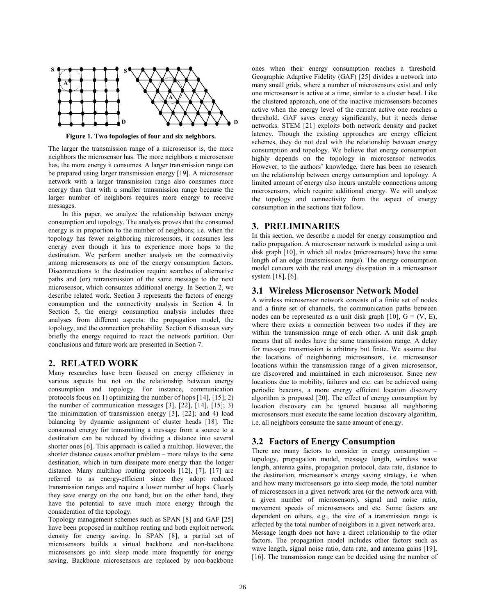

**Figure 1. Two topologies of four and six neighbors.** 

The larger the transmission range of a microsensor is, the more neighbors the microsensor has. The more neighbors a microsensor has, the more energy it consumes. A larger transmission range can be prepared using larger transmission energy [19]. A microsensor network with a larger transmission range also consumes more energy than that with a smaller transmission range because the larger number of neighbors requires more energy to receive messages.

In this paper, we analyze the relationship between energy consumption and topology. The analysis proves that the consumed energy is in proportion to the number of neighbors; i.e. when the topology has fewer neighboring microsensors, it consumes less energy even though it has to experience more hops to the destination. We perform another analysis on the connectivity among microsensors as one of the energy consumption factors. Disconnections to the destination require searches of alternative paths and (or) retransmission of the same message to the next microsensor, which consumes additional energy. In Section 2, we describe related work. Section 3 represents the factors of energy consumption and the connectivity analysis in Section 4. In Section 5, the energy consumption analysis includes three analyses from different aspects: the propagation model, the topology, and the connection probability. Section 6 discusses very briefly the energy required to react the network partition. Our conclusions and future work are presented in Section 7.

## **2. RELATED WORK**

Many researches have been focused on energy efficiency in various aspects but not on the relationship between energy consumption and topology. For instance, communication protocols focus on 1) optimizing the number of hops [14], [15]; 2) the number of communication messages [3], [22], [14], [15]; 3) the minimization of transmission energy [3], [22]; and 4) load balancing by dynamic assignment of cluster heads [18]. The consumed energy for transmitting a message from a source to a destination can be reduced by dividing a distance into several shorter ones [6]. This approach is called a multihop. However, the shorter distance causes another problem – more relays to the same destination, which in turn dissipate more energy than the longer distance. Many multihop routing protocols [12], [7], [17] are referred to as energy-efficient since they adopt reduced transmission ranges and require a lower number of hops. Clearly they save energy on the one hand; but on the other hand, they have the potential to save much more energy through the consideration of the topology.

Topology management schemes such as SPAN [8] and GAF [25] have been proposed in multihop routing and both exploit network density for energy saving. In SPAN [8], a partial set of microsensors builds a virtual backbone and non-backbone microsensors go into sleep mode more frequently for energy saving. Backbone microsensors are replaced by non-backbone

ones when their energy consumption reaches a threshold. Geographic Adaptive Fidelity (GAF) [25] divides a network into many small grids, where a number of microsensors exist and only one microsensor is active at a time, similar to a cluster head. Like the clustered approach, one of the inactive microsensors becomes active when the energy level of the current active one reaches a threshold. GAF saves energy significantly, but it needs dense networks. STEM [21] exploits both network density and packet latency. Though the existing approaches are energy efficient schemes, they do not deal with the relationship between energy consumption and topology. We believe that energy consumption highly depends on the topology in microsensor networks. However, to the authors' knowledge, there has been no research on the relationship between energy consumption and topology. A limited amount of energy also incurs unstable connections among microsensors, which require additional energy. We will analyze the topology and connectivity from the aspect of energy consumption in the sections that follow.

# **3. PRELIMINARIES**

In this section, we describe a model for energy consumption and radio propagation. A microsensor network is modeled using a unit disk graph [10], in which all nodes (microsensors) have the same length of an edge (transmission range). The energy consumption model concurs with the real energy dissipation in a microsensor system [18], [6].

## **3.1 Wireless Microsensor Network Model**

A wireless microsensor network consists of a finite set of nodes and a finite set of channels, the communication paths between nodes can be represented as a unit disk graph [10],  $G = (V, E)$ , where there exists a connection between two nodes if they are within the transmission range of each other. A unit disk graph means that all nodes have the same transmission range. A delay for message transmission is arbitrary but finite. We assume that the locations of neighboring microsensors, i.e. microsensor locations within the transmission range of a given microsensor, are discovered and maintained in each microsensor. Since new locations due to mobility, failures and etc. can be achieved using periodic beacons, a more energy efficient location discovery algorithm is proposed [20]. The effect of energy consumption by location discovery can be ignored because all neighboring microsensors must execute the same location discovery algorithm, i.e. all neighbors consume the same amount of energy.

# **3.2 Factors of Energy Consumption**

There are many factors to consider in energy consumption – topology, propagation model, message length, wireless wave length, antenna gains, propagation protocol, data rate, distance to the destination, microsensor's energy saving strategy, i.e. when and how many microsensors go into sleep mode, the total number of microsensors in a given network area (or the network area with a given number of microsensors), signal and noise ratio, movement speeds of microsensors and etc. Some factors are dependent on others, e.g., the size of a transmission range is affected by the total number of neighbors in a given network area. Message length does not have a direct relationship to the other factors. The propagation model includes other factors such as wave length, signal noise ratio, data rate, and antenna gains [19], [16]. The transmission range can be decided using the number of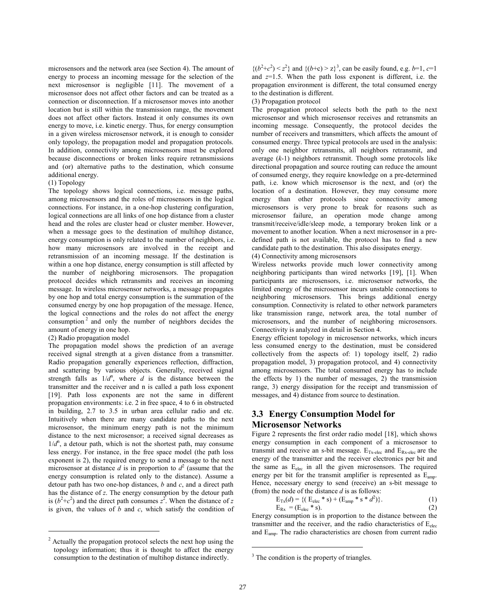microsensors and the network area (see Section 4). The amount of energy to process an incoming message for the selection of the next microsensor is negligible [11]. The movement of a microsensor does not affect other factors and can be treated as a connection or disconnection. If a microsensor moves into another location but is still within the transmission range, the movement does not affect other factors. Instead it only consumes its own energy to move, i.e. kinetic energy. Thus, for energy consumption in a given wireless microsensor network, it is enough to consider only topology, the propagation model and propagation protocols. In addition, connectivity among microsensors must be explored because disconnections or broken links require retransmissions and (or) alternative paths to the destination, which consume additional energy.

#### (1) Topology

The topology shows logical connections, i.e. message paths, among microsensors and the roles of microsensors in the logical connections. For instance, in a one-hop clustering configuration, logical connections are all links of one hop distance from a cluster head and the roles are cluster head or cluster member. However, when a message goes to the destination of multihop distance, energy consumption is only related to the number of neighbors, i.e. how many microsensors are involved in the receipt and retransmission of an incoming message. If the destination is within a one hop distance, energy consumption is still affected by the number of neighboring microsensors. The propagation protocol decides which retransmits and receives an incoming message. In wireless microsensor networks, a message propagates by one hop and total energy consumption is the summation of the consumed energy by one hop propagation of the message. Hence, the logical connections and the roles do not affect the energy consumption 2 and only the number of neighbors decides the amount of energy in one hop.

#### (2) Radio propagation model

l

The propagation model shows the prediction of an average received signal strength at a given distance from a transmitter. Radio propagation generally experiences reflection, diffraction, and scattering by various objects. Generally, received signal strength falls as  $1/d^n$ , where *d* is the distance between the transmitter and the receiver and n is called a path loss exponent [19]. Path loss exponents are not the same in different propagation environments: i.e. 2 in free space, 4 to 6 in obstructed in building, 2.7 to 3.5 in urban area cellular radio and etc. Intuitively when there are many candidate paths to the next microsensor, the minimum energy path is not the minimum distance to the next microsensor; a received signal decreases as 1/d<sup>n</sup>, a detour path, which is not the shortest path, may consume less energy. For instance, in the free space model (the path loss exponent is 2), the required energy to send a message to the next microsensor at distance  $d$  is in proportion to  $d^2$  (assume that the energy consumption is related only to the distance). Assume a detour path has two one-hop distances, *b* and *c*, and a direct path has the distance of *z*. The energy consumption by the detour path is  $(b^2+c^2)$  and the direct path consumes  $z^2$ . When the distance of *z* is given, the values of *b* and *c*, which satisfy the condition of

 ${(b<sup>2</sup>+c<sup>2</sup>) < z<sup>2</sup>}$  and  ${(b+c) > z}<sup>3</sup>$ , can be easily found, e.g. *b*=1, *c*=1 and  $z=1.5$ . When the path loss exponent is different, i.e. the propagation environment is different, the total consumed energy to the destination is different.

#### (3) Propagation protocol

The propagation protocol selects both the path to the next microsensor and which microsensor receives and retransmits an incoming message. Consequently, the protocol decides the number of receivers and transmitters, which affects the amount of consumed energy. Three typical protocols are used in the analysis: only one neighbor retransmits, all neighbors retransmit, and average (*k*-1) neighbors retransmit. Though some protocols like directional propagation and source routing can reduce the amount of consumed energy, they require knowledge on a pre-determined path, i.e. know which microsensor is the next, and (or) the location of a destination. However, they may consume more energy than other protocols since connectivity among microsensors is very prone to break for reasons such as microsensor failure, an operation mode change among transmit/receive/idle/sleep mode, a temporary broken link or a movement to another location. When a next microsensor in a predefined path is not available, the protocol has to find a new candidate path to the destination. This also dissipates energy. (4) Connectivity among microsensors

Wireless networks provide much lower connectivity among neighboring participants than wired networks [19], [1]. When participants are microsensors, i.e. microsensor networks, the limited energy of the microsensor incurs unstable connections to neighboring microsensors. This brings additional energy consumption. Connectivity is related to other network parameters like transmission range, network area, the total number of microsensors, and the number of neighboring microsensors. Connectivity is analyzed in detail in Section 4.

Energy efficient topology in microsensor networks, which incurs less consumed energy to the destination, must be considered collectively from the aspects of: 1) topology itself, 2) radio propagation model, 3) propagation protocol, and 4) connectivity among microsensors. The total consumed energy has to include the effects by 1) the number of messages, 2) the transmission range, 3) energy dissipation for the receipt and transmission of messages, and 4) distance from source to destination.

# **3.3 Energy Consumption Model for Microsensor Networks**

Figure 2 represents the first order radio model [18], which shows energy consumption in each component of a microsensor to transmit and receive an s-bit message.  $E_{Tx\text{-elec}}$  and  $E_{Rx\text{-elec}}$  are the energy of the transmitter and the receiver electronics per bit and the same as  $E_{elec}$  in all the given microsensors. The required energy per bit for the transmit amplifier is represented as Eamp. Hence, necessary energy to send (receive) an s-bit message to (from) the node of the distance *d* is as follows:

$$
E_{Tx}(d) = \{ (E_{elec} * s) + (E_{amp} * s * d^{2}) \}.
$$
  
\n
$$
E_{Rx} = (E_{elec} * s).
$$
 (1)

Energy consumption is in proportion to the distance between the transmitter and the receiver, and the radio characteristics of  $E_{elec}$ and Eamp. The radio characteristics are chosen from current radio

<u>.</u>

<sup>&</sup>lt;sup>2</sup> Actually the propagation protocol selects the next hop using the topology information; thus it is thought to affect the energy consumption to the destination of multihop distance indirectly.

<sup>&</sup>lt;sup>3</sup> The condition is the property of triangles.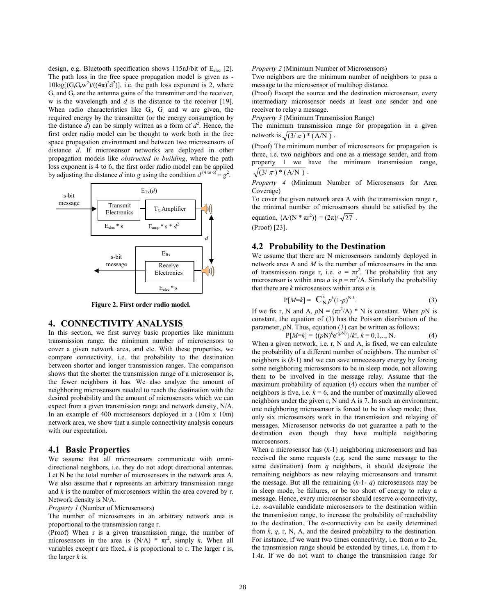design, e.g. Bluetooth specification shows 115nJ/bit of  $E_{elec}$  [2]. The path loss in the free space propagation model is given as -  $10\log[(G_tG_rw^2)/((4\pi)^2d^2)]$ , i.e. the path loss exponent is 2, where  $G_t$  and  $G_r$  are the antenna gains of the transmitter and the receiver, w is the wavelength and *d* is the distance to the receiver [19]. When radio characteristics like  $G_t$ ,  $G_r$  and w are given, the required energy by the transmitter (or the energy consumption by the distance  $\overrightarrow{d}$ ) can be simply written as a form of  $\overrightarrow{d}$ <sup>2</sup>. Hence, the first order radio model can be thought to work both in the free space propagation environment and between two microsensors of distance *d*. If microsensor networks are deployed in other propagation models like *obstructed in building*, where the path loss exponent is 4 to 6, the first order radio model can be applied by adjusting the distance *d* into *g* using the condition  $d^{(4 \text{ to } 6)} = g^2$ .



**Figure 2. First order radio model.** 

#### **4. CONNECTIVITY ANALYSIS**

In this section, we first survey basic properties like minimum transmission range, the minimum number of microsensors to cover a given network area, and etc. With these properties, we compare connectivity, i.e. the probability to the destination between shorter and longer transmission ranges. The comparison shows that the shorter the transmission range of a microsensor is, the fewer neighbors it has. We also analyze the amount of neighboring microsensors needed to reach the destination with the desired probability and the amount of microsensors which we can expect from a given transmission range and network density, N/A. In an example of 400 microsensors deployed in a (10m x 10m) network area, we show that a simple connectivity analysis concurs with our expectation.

#### **4.1 Basic Properties**

We assume that all microsensors communicate with omnidirectional neighbors, i.e. they do not adopt directional antennas. Let N be the total number of microsensors in the network area A. We also assume that r represents an arbitrary transmission range and *k* is the number of microsensors within the area covered by r. Network density is N/A.

*Property 1* (Number of Microsensors)

The number of microsensors in an arbitrary network area is proportional to the transmission range r.

(Proof) When r is a given transmission range, the number of microsensors in the area is  $(N/A) * \pi r^2$ , simply *k*. When all variables except r are fixed, *k* is proportional to r. The larger r is, the larger *k* is.

*Property 2* (Minimum Number of Microsensors)

Two neighbors are the minimum number of neighbors to pass a message to the microsensor of multihop distance.

(Proof) Except the source and the destination microsensor, every intermediary microsensor needs at least one sender and one receiver to relay a message.

*Property 3* (Minimum Transmission Range)

The minimum transmission range for propagation in a given network is  $\sqrt{(3/\pi)^*(A/N)}$ .

(Proof) The minimum number of microsensors for propagation is three, i.e. two neighbors and one as a message sender, and from property 1 we have the minimum transmission range,

$$
\sqrt{(3/\pi)^*(AN)}.
$$

*Property 4* (Minimum Number of Microsensors for Area Coverage)

To cover the given network area A with the transmission range r, the minimal number of microsensors should be satisfied by the equation,  $\{A/(N * \pi r^2)\} = (2\pi)/\sqrt{27}$ .

(Proof) [23].

#### **4.2 Probability to the Destination**

We assume that there are N microsensors randomly deployed in network area A and *M* is the number of microsensors in the area of transmission range r, i.e.  $a = \pi r^2$ . The probability that any microsensor is within area *a* is  $p = \pi r^2/A$ . Similarly the probability that there are *k* microsensors within area *a* is

$$
P[M=k] = C_N^k p^k (1-p)^{N-k}.
$$
 (3)

If we fix r, N and A,  $pN = (\pi r^2/A)^* N$  is constant. When  $pN$  is constant, the equation of (3) has the Poisson distribution of the parameter, *pN*. Thus, equation (3) can be written as follows:

$$
P[M=k] = \{ (pN)^{k} e^{-(pN)} \} / k!, \ k = 0, 1, ..., N.
$$
 (4)

When a given network, i.e. r, N and A, is fixed, we can calculate the probability of a different number of neighbors. The number of neighbors is (*k*-1) and we can save unnecessary energy by forcing some neighboring microsensors to be in sleep mode, not allowing them to be involved in the message relay. Assume that the maximum probability of equation (4) occurs when the number of neighbors is five, i.e.  $k = 6$ , and the number of maximally allowed neighbors under the given r, N and A is 7. In such an environment, one neighboring microsensor is forced to be in sleep mode; thus, only six microsensors work in the transmission and relaying of messages. Microsensor networks do not guarantee a path to the destination even though they have multiple neighboring microsensors.

When a microsensor has (*k*-1) neighboring microsensors and has received the same requests (e.g. send the same message to the same destination) from *q* neighbors, it should designate the remaining neighbors as new relaying microsensors and transmit the message. But all the remaining  $(k-1-q)$  microsensors may be in sleep mode, be failures, or be too short of energy to relay a message. Hence, every microsensor should reserve  $\alpha$ -connectivity, i.e.  $\alpha$ -available candidate microsensors to the destination within the transmission range, to increase the probability of reachability to the destination. The  $\alpha$ -connectivity can be easily determined from *k*, *q*, r, N, A, and the desired probability to the destination. For instance, if we want two times connectivity, i.e. from  $\alpha$  to  $2\alpha$ , the transmission range should be extended by times, i.e. from r to 1.4r. If we do not want to change the transmission range for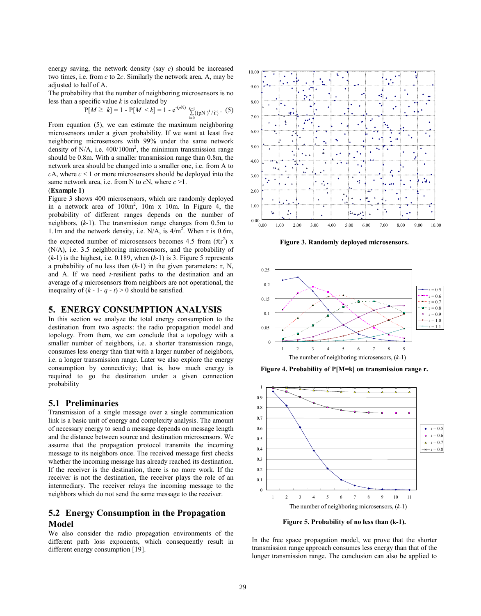energy saving, the network density (say *c*) should be increased two times, i.e. from *c* to 2*c*. Similarly the network area, A, may be adjusted to half of A.

The probability that the number of neighboring microsensors is no less than a specific value *k* is calculated by

$$
P[M \ge k] = 1 - P[M < k] = 1 - e^{-(pN)} \sum_{i=0}^{k-1} \{ (pN)^i / i! \} \cdot (5)
$$

From equation (5), we can estimate the maximum neighboring microsensors under a given probability. If we want at least five neighboring microsensors with 99% under the same network density of  $N/A$ , i.e.  $400/100m^2$ , the minimum transmission range should be 0.8m. With a smaller transmission range than 0.8m, the network area should be changed into a smaller one, i.e. from A to *c*A, where *c* < 1 or more microsensors should be deployed into the same network area, i.e. from N to  $cN$ , where  $c > 1$ .

#### (**Example 1**)

Figure 3 shows 400 microsensors, which are randomly deployed in a network area of 100m2 , 10m x 10m. In Figure 4, the probability of different ranges depends on the number of neighbors, (*k*-1). The transmission range changes from 0.5m to 1.1m and the network density, i.e.  $N/A$ , is  $4/m^2$ . When r is 0.6m, the expected number of microsensors becomes 4.5 from  $(\pi r^2)$  x

(N/A), i.e. 3.5 neighboring microsensors, and the probability of  $(k-1)$  is the highest, i.e. 0.189, when  $(k-1)$  is 3. Figure 5 represents a probability of no less than  $(k-1)$  in the given parameters:  $r, N$ , and A. If we need *t*-resilient paths to the destination and an average of *q* microsensors from neighbors are not operational, the inequality of  $(k - 1 - q - t) > 0$  should be satisfied.

## **5. ENERGY CONSUMPTION ANALYSIS**

In this section we analyze the total energy consumption to the destination from two aspects: the radio propagation model and topology. From them, we can conclude that a topology with a smaller number of neighbors, i.e. a shorter transmission range, consumes less energy than that with a larger number of neighbors, i.e. a longer transmission range. Later we also explore the energy consumption by connectivity; that is, how much energy is required to go the destination under a given connection probability

## **5.1 Preliminaries**

Transmission of a single message over a single communication link is a basic unit of energy and complexity analysis. The amount of necessary energy to send a message depends on message length and the distance between source and destination microsensors. We assume that the propagation protocol transmits the incoming message to its neighbors once. The received message first checks whether the incoming message has already reached its destination. If the receiver is the destination, there is no more work. If the receiver is not the destination, the receiver plays the role of an intermediary. The receiver relays the incoming message to the neighbors which do not send the same message to the receiver.

## **5.2 Energy Consumption in the Propagation Model**

We also consider the radio propagation environments of the different path loss exponents, which consequently result in different energy consumption [19].



**Figure 3. Randomly deployed microsensors.**



**Figure 4. Probability of P[M=k] on transmission range r.** 



**Figure 5. Probability of no less than (k-1).** 

In the free space propagation model, we prove that the shorter transmission range approach consumes less energy than that of the longer transmission range. The conclusion can also be applied to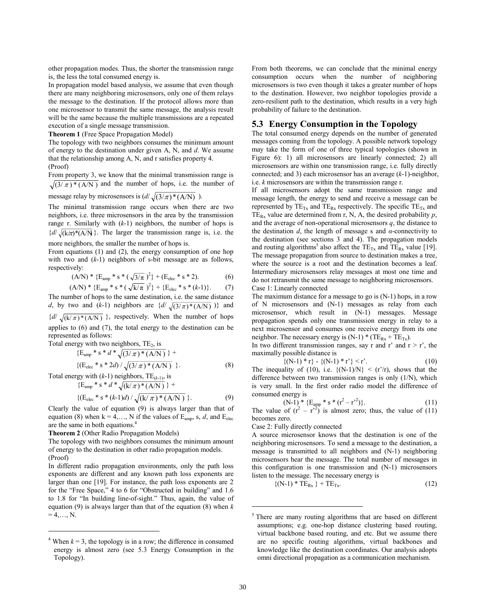other propagation modes. Thus, the shorter the transmission range is, the less the total consumed energy is.

In propagation model based analysis, we assume that even though there are many neighboring microsensors, only one of them relays the message to the destination. If the protocol allows more than one microsensor to transmit the same message, the analysis result will be the same because the multiple transmissions are a repeated execution of a single message transmission.

**Theorem 1** (Free Space Propagation Model)

The topology with two neighbors consumes the minimum amount of energy to the destination under given A, N, and *d*. We assume that the relationship among A, N, and r satisfies property 4. (Proof)

From property 3, we know that the minimal transmission range is  $\sqrt{(3/\pi)^*(A/N)}$  and the number of hops, i.e. the number of

message relay by microsensors is  $(d/\sqrt{(3/\pi)^*(A/N)})$ .

The minimal transmission range occurs when there are two neighbors, i.e. three microsensors in the area by the transmission range r. Similarly with (*k*-1) neighbors, the number of hops is  ${d/\sqrt{(k/\pi)^*(A/N)}}$ . The larger the transmission range is, i.e. the

more neighbors, the smaller the number of hops is.

From equations (1) and (2), the energy consumption of one hop with two and (*k*-1) neighbors of s-bit message are as follows, respectively:

$$
(AN)*{E_{amp} * s * (\sqrt{3/\pi})^2} + (E_{elec} * s * 2). \tag{6}
$$
  

$$
(AN)*{E* s * (\sqrt{1/\pi})^2} + (E* s * (k.1)) \tag{7}
$$

$$
(A/N)^{*} \{E_{amp} * s * (\sqrt{k/\pi})^{2}\} + \{E_{elec} * s * (k-1)\}.
$$
 (7)

The number of hops to the same destination, i.e. the same distance *d*, by two and  $(k-1)$  neighbors are  $\{d/\sqrt{(3/\pi)^*(A/N)}\}$  and  ${d/\sqrt{(k/\pi)^*(A/N)}}$ , respectively. When the number of hops applies to (6) and (7), the total energy to the destination can be represented as follows:

Total energy with two neighbors,  $TE<sub>2</sub>$  is

$$
{\sum_{\text{temp}} s \cdot s + d * \sqrt{(3/\pi) * (A/N)}} +
$$
  
{(E<sub>elec</sub> \* s \* 2d) / \sqrt{(3/\pi) \* (A/N)}}. (8)

Total energy with  $(k-1)$  neighbors,  $TE_{(k-1)}$ , is

$$
{\{E_{amp} * s * d * \sqrt{(k/\pi) * (AN)} \} +}
$$
  

$$
{\{E_{elec} * s * (k-1)d \} / \sqrt{(k/\pi) * (AN)} \}.
$$
 (9)

Clearly the value of equation (9) is always larger than that of equation (8) when  $k = 4,..., N$  if the values of  $E_{amp}$ , s, *d*, and  $E_{elec}$ are the same in both equations.<sup>4</sup>

**Theorem 2** (Other Radio Propagation Models)

l

The topology with two neighbors consumes the minimum amount of energy to the destination in other radio propagation models. (Proof)

In different radio propagation environments, only the path loss exponents are different and any known path loss exponents are larger than one [19]. For instance, the path loss exponents are 2 for the "Free Space," 4 to 6 for "Obstructed in building" and 1.6 to 1.8 for "In building line-of-sight." Thus, again, the value of equation (9) is always larger than that of the equation (8) when *k*  $= 4, ..., N$ .

From both theorems, we can conclude that the minimal energy consumption occurs when the number of neighboring microsensors is two even though it takes a greater number of hops to the destination. However, two neighbor topologies provide a zero-resilient path to the destination, which results in a very high probability of failure to the destination.

## **5.3 Energy Consumption in the Topology**

The total consumed energy depends on the number of generated messages coming from the topology. A possible network topology may take the form of one of three typical topologies (shown in Figure 6): 1) all microsensors are linearly connected; 2) all microsensors are within one transmission range, i.e. fully directly connected; and 3) each microsensor has an average (*k*-1)-neighbor, i.e. *k* microsensors are within the transmission range r.

If all microsensors adopt the same transmission range and message length, the energy to send and receive a message can be represented by  $TE_{Tx}$  and  $TE_{Rx}$  respectively. The specific  $TE_{Tx}$  and TE<sub>Rx</sub> value are determined from r, N, A, the desired probability  $p$ , and the average of non-operational microsensors  $q$ , the distance to the destination  $d$ , the length of message s and  $\alpha$ -connectivity to the destination (see sections 3 and 4). The propagation models and routing algorithms<sup>5</sup> also affect the  $TE_{Tx}$  and  $TE_{Rx}$  value [19]. The message propagation from source to destination makes a tree, where the source is a root and the destination becomes a leaf. Intermediary microsensors relay messages at most one time and do not retransmit the same message to neighboring microsensors. Case 1: Linearly connected

The maximum distance for a message to go is (N-1) hops, in a row of N microsensors and (N-1) messages as relay from each microsensor, which result in (N-1) messages. Message propagation spends only one transmission energy in relay to a next microsensor and consumes one receive energy from its one neighbor. The necessary energy is  $(N-1) * (TE_{Rx} + TE_{Tx})$ .

In two different transmission ranges, say r and r' and  $r > r'$ , the maximally possible distance is

$$
\{(N-1) * r\} - \{(N-1) * r'\} < r'. \tag{10}
$$

The inequality of (10), i.e.  $\{(N-1)/N\} < (r')r$ , shows that the difference between two transmission ranges is only  $(1/N)$ , which is very small. In the first order radio model the difference of consumed energy is

$$
(N-1) * {E_{amp} * s * (r^2 - r^{2})}.
$$
 (11)

The value of  $(r^2 - r^2)$  is almost zero; thus, the value of (11) becomes zero.

Case 2: Fully directly connected

A source microsensor knows that the destination is one of the neighboring microsensors. To send a message to the destination, a message is transmitted to all neighbors and (N-1) neighboring microsensors hear the message. The total number of messages in this configuration is one transmission and (N-1) microsensors listen to the message. The necessary energy is

 $\{({\rm N-1}) * {\rm TE}_{\rm Rx}\} + {\rm TE}_{\rm Tx}.$  (12)

<u>.</u>

<sup>&</sup>lt;sup>4</sup> When  $k = 3$ , the topology is in a row; the difference in consumed energy is almost zero (see 5.3 Energy Consumption in the Topology).

<sup>&</sup>lt;sup>5</sup> There are many routing algorithms that are based on different assumptions; e.g. one-hop distance clustering based routing, virtual backbone based routing, and etc. But we assume there are no specific routing algorithms, virtual backbones and knowledge like the destination coordinates. Our analysis adopts omni directional propagation as a communication mechanism.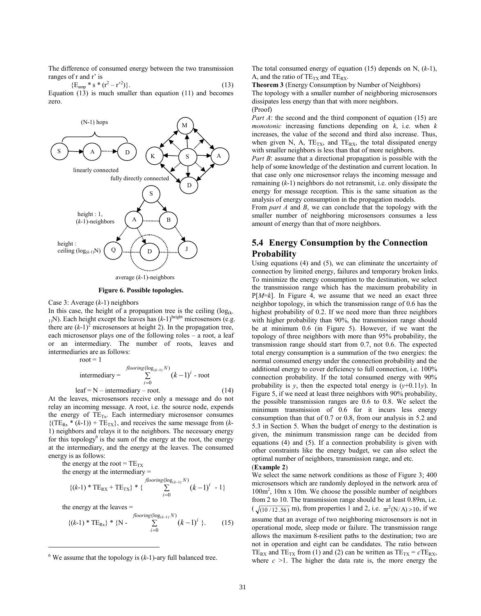The difference of consumed energy between the two transmission ranges of r and r' is

$$
{\{E_{amp} * s * (r^2 - r^2)\}}.
$$
\nEquation (13) is much smaller, then equation (11) and becomes

Equation (13) is much smaller than equation (11) and becomes zero.



**Figure 6. Possible topologies.** 

Case 3: Average (*k*-1) neighbors

In this case, the height of a propagation tree is the ceiling  $(log_{k+1})$  $_{1}$ N). Each height except the leaves has  $(k-1)$ <sup>height</sup> microsensors (e.g. there are  $(k-1)^2$  microsensors at height 2). In the propagation tree, each microsensor plays one of the following roles – a root, a leaf or an intermediary. The number of roots, leaves and intermediaries are as follows:

root  $= 1$ 

intermediary = 
$$
\sum_{i=0}^{flooring(\log_{(k-1)}N)} (k-1)^i
$$
-root

 $leaf = N - intermediary - root.$  (14) At the leaves, microsensors receive only a message and do not relay an incoming message. A root, i.e. the source node, expends the energy of  $TE_{Tx}$ . Each intermediary microsensor consumes  ${({\rm (TE}_{\rm Rx} * (k-1)) + {\rm TE}_{\rm TX}}$ , and receives the same message from  $(k-1)$ 1) neighbors and relays it to the neighbors. The necessary energy for this topology<sup>6</sup> is the sum of the energy at the root, the energy at the intermediary, and the energy at the leaves. The consumed energy is as follows:

the energy at the root =  $TE_{TX}$ 

the energy at the intermediary =

{
$$
(k-1) * TE_{RX} + TE_{TX}
$$
} \* {  $\sum_{i=0}^{flooring(\log_{(k-1)} N)} (k-1)^{i} - 1$ }

the energy at the leaves =

l

$$
\{(k-1) * TE_{Rx}\} * \{N - \sum_{i=0}^{\text{flooring}(\log_{(k-1)} N)} (k-1)^i\}.
$$
 (15)

The total consumed energy of equation (15) depends on N, (*k*-1), A, and the ratio of  $TE_{TX}$  and  $TE_{RX}$ .

**Theorem 3** (Energy Consumption by Number of Neighbors) The topology with a smaller number of neighboring microsensors dissipates less energy than that with more neighbors. (Proof)

*Part A*: the second and the third component of equation (15) are *monotonic* increasing functions depending on *k*, i.e. when *k* increases, the value of the second and third also increase. Thus, when given N, A,  $TE_{TX}$ , and  $TE_{RX}$ , the total dissipated energy with smaller neighbors is less than that of more neighbors.

*Part B*: assume that a directional propagation is possible with the help of some knowledge of the destination and current location. In that case only one microsensor relays the incoming message and remaining (*k*-1) neighbors do not retransmit, i.e. only dissipate the energy for message reception. This is the same situation as the analysis of energy consumption in the propagation models.

From *part A* and *B*, we can conclude that the topology with the smaller number of neighboring microsensors consumes a less amount of energy than that of more neighbors.

## **5.4 Energy Consumption by the Connection Probability**

Using equations (4) and (5), we can eliminate the uncertainty of connection by limited energy, failures and temporary broken links. To minimize the energy consumption to the destination, we select the transmission range which has the maximum probability in P[*M*=*k*]. In Figure 4, we assume that we need an exact three neighbor topology, in which the transmission range of 0.6 has the highest probability of 0.2. If we need more than three neighbors with higher probability than 90%, the transmission range should be at minimum 0.6 (in Figure 5). However, if we want the topology of three neighbors with more than 95% probability, the transmission range should start from 0.7, not 0.6. The expected total energy consumption is a summation of the two energies: the normal consumed energy under the connection probability and the additional energy to cover deficiency to full connection, i.e. 100% connection probability. If the total consumed energy with 90% probability is *y*, then the expected total energy is  $(y+0.11y)$ . In Figure 5, if we need at least three neighbors with 90% probability, the possible transmission ranges are 0.6 to 0.8. We select the minimum transmission of 0.6 for it incurs less energy consumption than that of 0.7 or 0.8, from our analysis in 5.2 and 5.3 in Section 5. When the budget of energy to the destination is given, the minimum transmission range can be decided from equations (4) and (5). If a connection probability is given with other constraints like the energy budget, we can also select the optimal number of neighbors, transmission range, and etc.

#### (**Example 2**)

We select the same network conditions as those of Figure 3; 400 microsensors which are randomly deployed in the network area of 100m2 , 10m x 10m. We choose the possible number of neighbors from 2 to 10. The transmission range should be at least 0.89m, i.e.  $\left(\sqrt{\frac{(10/12.56)}{(10.12.56)}} \text{ m}\right)$ , from properties 1 and 2, i.e.  $\pi r^2(N/A) > 10$ , if we

assume that an average of two neighboring microsensors is not in operational mode, sleep mode or failure. The transmission range allows the maximum 8-resilient paths to the destination; two are not in operation and eight can be candidates. The ratio between TE<sub>RX</sub> and TE<sub>TX</sub> from (1) and (2) can be written as TE<sub>TX</sub> =  $cTE_{RX}$ , where  $c > 1$ . The higher the data rate is, the more energy the

 $6$  We assume that the topology is  $(k-1)$ -ary full balanced tree.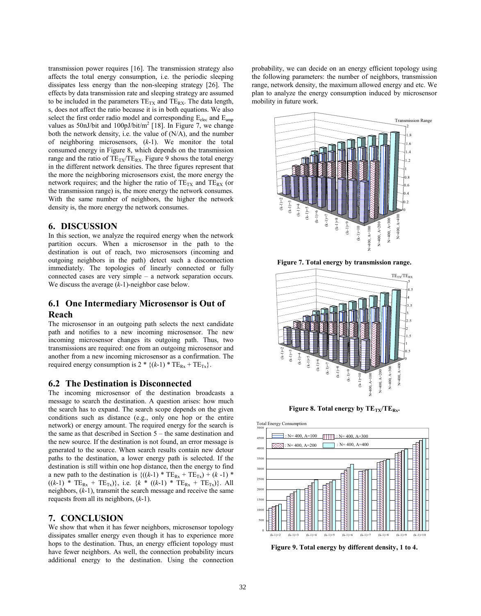transmission power requires [16]. The transmission strategy also affects the total energy consumption, i.e. the periodic sleeping dissipates less energy than the non-sleeping strategy [26]. The effects by data transmission rate and sleeping strategy are assumed to be included in the parameters  $TE_{TX}$  and  $TE_{RX}$ . The data length, s, does not affect the ratio because it is in both equations. We also select the first order radio model and corresponding  $E_{elec}$  and  $E_{amp}$ values as 50nJ/bit and  $100pJ/bit/m^2$  [18]. In Figure 7, we change both the network density, i.e. the value of (N/A), and the number of neighboring microsensors, (*k*-1). We monitor the total consumed energy in Figure 8, which depends on the transmission range and the ratio of  $TE_{TX}/TE_{RX}$ . Figure 9 shows the total energy in the different network densities. The three figures represent that the more the neighboring microsensors exist, the more energy the network requires; and the higher the ratio of  $TE_{TX}$  and  $TE_{RX}$  (or the transmission range) is, the more energy the network consumes. With the same number of neighbors, the higher the network density is, the more energy the network consumes.

## **6. DISCUSSION**

In this section, we analyze the required energy when the network partition occurs. When a microsensor in the path to the destination is out of reach, two microsensors (incoming and outgoing neighbors in the path) detect such a disconnection immediately. The topologies of linearly connected or fully connected cases are very simple – a network separation occurs. We discuss the average (*k*-1)-neighbor case below.

# **6.1 One Intermediary Microsensor is Out of Reach**

The microsensor in an outgoing path selects the next candidate path and notifies to a new incoming microsensor. The new incoming microsensor changes its outgoing path. Thus, two transmissions are required: one from an outgoing microsensor and another from a new incoming microsensor as a confirmation. The required energy consumption is  $2 * {(k-1) * TE_{Rx} + TE_{Tx}}$ .

### **6.2 The Destination is Disconnected**

The incoming microsensor of the destination broadcasts a message to search the destination. A question arises: how much the search has to expand. The search scope depends on the given conditions such as distance (e.g., only one hop or the entire network) or energy amount. The required energy for the search is the same as that described in Section 5 – the same destination and the new source. If the destination is not found, an error message is generated to the source. When search results contain new detour paths to the destination, a lower energy path is selected. If the destination is still within one hop distance, then the energy to find a new path to the destination is  $\{((k-1) * TE_{Rx} + TE_{Tx}) + (k-1) *$  $((k-1) * TE_{Rx} + TE_{Tx})$ , i.e.  $\{k * ((k-1) * TE_{Rx} + TE_{Tx})\}$ . All neighbors, (*k*-1), transmit the search message and receive the same requests from all its neighbors, (*k*-1).

## **7. CONCLUSION**

We show that when it has fewer neighbors, microsensor topology dissipates smaller energy even though it has to experience more hops to the destination. Thus, an energy efficient topology must have fewer neighbors. As well, the connection probability incurs additional energy to the destination. Using the connection probability, we can decide on an energy efficient topology using the following parameters: the number of neighbors, transmission range, network density, the maximum allowed energy and etc. We plan to analyze the energy consumption induced by microsensor mobility in future work.



**Figure 7. Total energy by transmission range.**



**Figure 8. Total energy by TE<sub>TX</sub>/TE<sub>Ry</sub>.** 



**Figure 9. Total energy by different density, 1 to 4.**